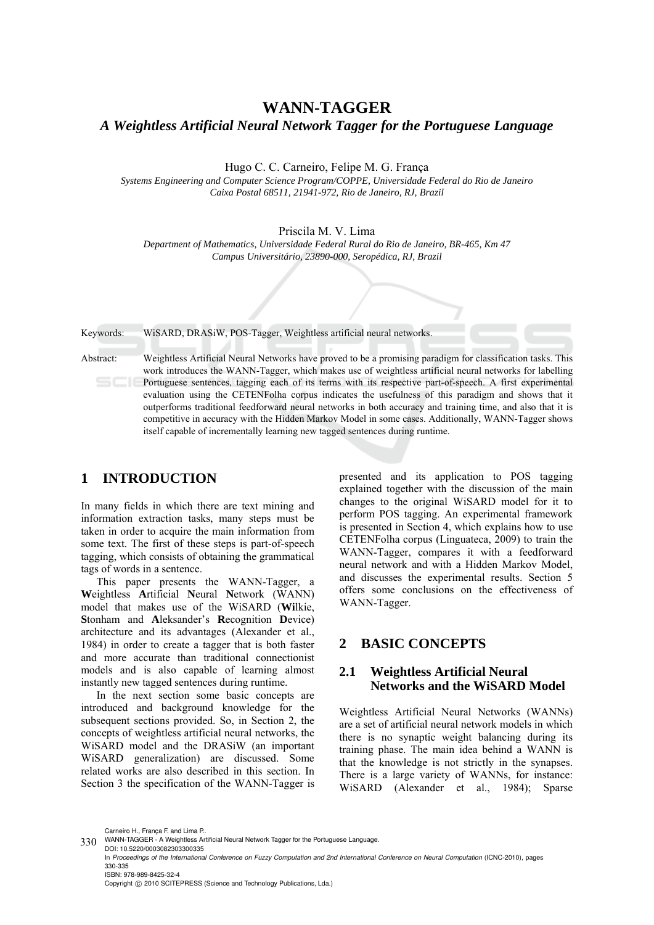# **WANN-TAGGER**  *A Weightless Artificial Neural Network Tagger for the Portuguese Language*

Hugo C. C. Carneiro, Felipe M. G. França

*Systems Engineering and Computer Science Program/COPPE, Universidade Federal do Rio de Janeiro Caixa Postal 68511, 21941-972, Rio de Janeiro, RJ, Brazil* 

Priscila M. V. Lima

*Department of Mathematics, Universidade Federal Rural do Rio de Janeiro, BR-465, Km 47 Campus Universitário, 23890-000, Seropédica, RJ, Brazil* 

Keywords: WiSARD, DRASiW, POS-Tagger, Weightless artificial neural networks.

Abstract: Weightless Artificial Neural Networks have proved to be a promising paradigm for classification tasks. This work introduces the WANN-Tagger, which makes use of weightless artificial neural networks for labelling Portuguese sentences, tagging each of its terms with its respective part-of-speech. A first experimental evaluation using the CETENFolha corpus indicates the usefulness of this paradigm and shows that it outperforms traditional feedforward neural networks in both accuracy and training time, and also that it is competitive in accuracy with the Hidden Markov Model in some cases. Additionally, WANN-Tagger shows itself capable of incrementally learning new tagged sentences during runtime.

## **1 INTRODUCTION**

In many fields in which there are text mining and information extraction tasks, many steps must be taken in order to acquire the main information from some text. The first of these steps is part-of-speech tagging, which consists of obtaining the grammatical tags of words in a sentence.

This paper presents the WANN-Tagger, a **W**eightless **A**rtificial **N**eural **N**etwork (WANN) model that makes use of the WiSARD (**Wi**lkie, **S**tonham and **A**leksander's **R**ecognition **D**evice) architecture and its advantages (Alexander et al., 1984) in order to create a tagger that is both faster and more accurate than traditional connectionist models and is also capable of learning almost instantly new tagged sentences during runtime.

In the next section some basic concepts are introduced and background knowledge for the subsequent sections provided. So, in Section 2, the concepts of weightless artificial neural networks, the WiSARD model and the DRASiW (an important WiSARD generalization) are discussed. Some related works are also described in this section. In Section 3 the specification of the WANN-Tagger is

presented and its application to POS tagging explained together with the discussion of the main changes to the original WiSARD model for it to perform POS tagging. An experimental framework is presented in Section 4, which explains how to use CETENFolha corpus (Linguateca, 2009) to train the WANN-Tagger, compares it with a feedforward neural network and with a Hidden Markov Model, and discusses the experimental results. Section 5 offers some conclusions on the effectiveness of WANN-Tagger.

## **2 BASIC CONCEPTS**

## **2.1 Weightless Artificial Neural Networks and the WiSARD Model**

Weightless Artificial Neural Networks (WANNs) are a set of artificial neural network models in which there is no synaptic weight balancing during its training phase. The main idea behind a WANN is that the knowledge is not strictly in the synapses. There is a large variety of WANNs, for instance: WiSARD (Alexander et al., 1984); Sparse

Carneiro H., França F. and Lima P..

ISBN: 978-989-8425-32-4

Copyright © 2010 SCITEPRESS (Science and Technology Publications, Lda.)

<sup>330</sup> WANN-TAGGER - A Weightless Artificial Neural Network Tagger for the Portuguese Language. DOI: 10.5220/0003082303300335

In *Proceedings of the International Conference on Fuzzy Computation and 2nd International Conference on Neural Computation* (ICNC-2010), pages 330-335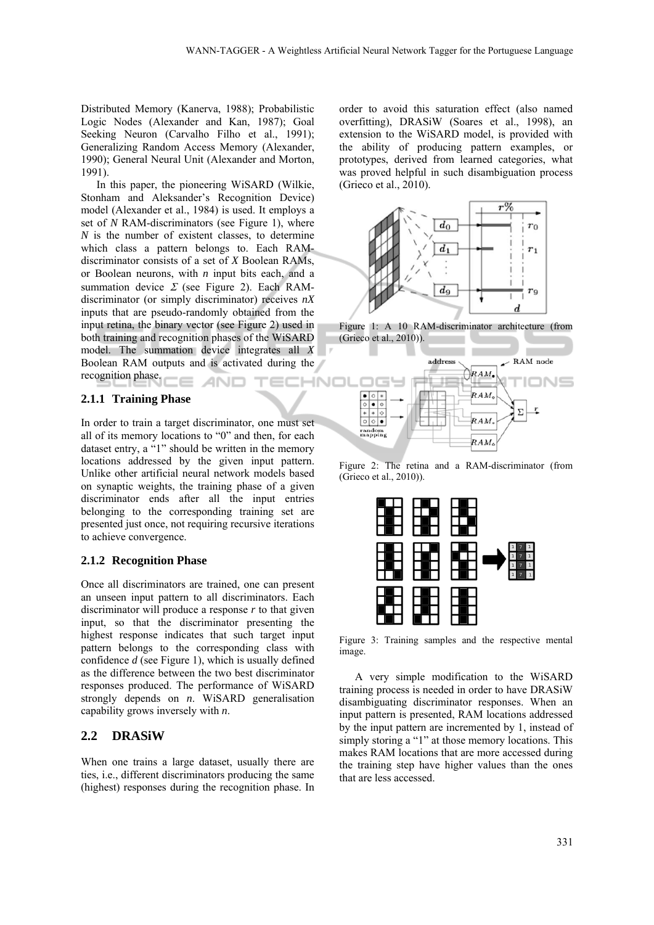Distributed Memory (Kanerva, 1988); Probabilistic Logic Nodes (Alexander and Kan, 1987); Goal Seeking Neuron (Carvalho Filho et al., 1991); Generalizing Random Access Memory (Alexander, 1990); General Neural Unit (Alexander and Morton, 1991).

In this paper, the pioneering WiSARD (Wilkie, Stonham and Aleksander's Recognition Device) model (Alexander et al., 1984) is used. It employs a set of *N* RAM-discriminators (see Figure 1), where *N* is the number of existent classes, to determine which class a pattern belongs to. Each RAMdiscriminator consists of a set of *X* Boolean RAMs, or Boolean neurons, with *n* input bits each, and a summation device  $\Sigma$  (see Figure 2). Each RAMdiscriminator (or simply discriminator) receives *nX* inputs that are pseudo-randomly obtained from the input retina, the binary vector (see Figure 2) used in both training and recognition phases of the WiSARD model. The summation device integrates all *X* Boolean RAM outputs and is activated during the recognition phase. IHNO ANE

#### **2.1.1 Training Phase**

In order to train a target discriminator, one must set all of its memory locations to "0" and then, for each dataset entry, a "1" should be written in the memory locations addressed by the given input pattern. Unlike other artificial neural network models based on synaptic weights, the training phase of a given discriminator ends after all the input entries belonging to the corresponding training set are presented just once, not requiring recursive iterations to achieve convergence.

#### **2.1.2 Recognition Phase**

Once all discriminators are trained, one can present an unseen input pattern to all discriminators. Each discriminator will produce a response *r* to that given input, so that the discriminator presenting the highest response indicates that such target input pattern belongs to the corresponding class with confidence *d* (see Figure 1), which is usually defined as the difference between the two best discriminator responses produced. The performance of WiSARD strongly depends on *n*. WiSARD generalisation capability grows inversely with *n*.

#### **2.2 DRASiW**

When one trains a large dataset, usually there are ties, i.e., different discriminators producing the same (highest) responses during the recognition phase. In

order to avoid this saturation effect (also named overfitting), DRASiW (Soares et al., 1998), an extension to the WiSARD model, is provided with the ability of producing pattern examples, or prototypes, derived from learned categories, what was proved helpful in such disambiguation process (Grieco et al., 2010).



Figure 1: A 10 RAM-discriminator architecture (from (Grieco et al., 2010)).



Figure 2: The retina and a RAM-discriminator (from (Grieco et al., 2010)).



Figure 3: Training samples and the respective mental image.

A very simple modification to the WiSARD training process is needed in order to have DRASiW disambiguating discriminator responses. When an input pattern is presented, RAM locations addressed by the input pattern are incremented by 1, instead of simply storing a "1" at those memory locations. This makes RAM locations that are more accessed during the training step have higher values than the ones that are less accessed.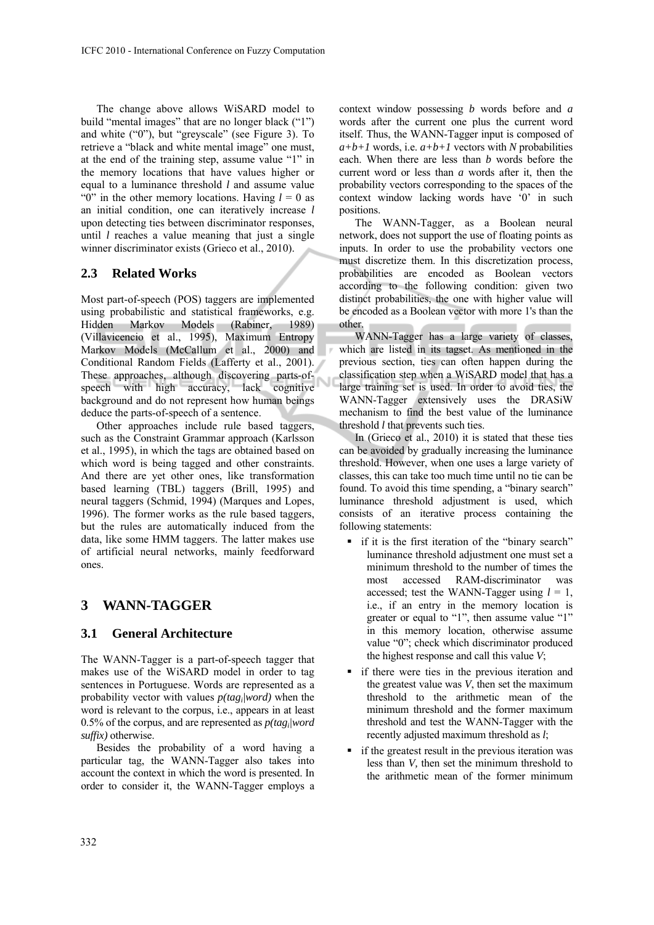The change above allows WiSARD model to build "mental images" that are no longer black ("1") and white ("0"), but "greyscale" (see Figure 3). To retrieve a "black and white mental image" one must, at the end of the training step, assume value "1" in the memory locations that have values higher or equal to a luminance threshold *l* and assume value "0" in the other memory locations. Having  $l = 0$  as an initial condition, one can iteratively increase *l* upon detecting ties between discriminator responses, until *l* reaches a value meaning that just a single winner discriminator exists (Grieco et al., 2010).

### **2.3 Related Works**

Most part-of-speech (POS) taggers are implemented using probabilistic and statistical frameworks, e.g. Hidden Markov Models (Rabiner, 1989) (Villavicencio et al., 1995), Maximum Entropy Markov Models (McCallum et al., 2000) and Conditional Random Fields (Lafferty et al., 2001). These approaches, although discovering parts-ofspeech with high accuracy, lack cognitive background and do not represent how human beings deduce the parts-of-speech of a sentence.

Other approaches include rule based taggers, such as the Constraint Grammar approach (Karlsson et al., 1995), in which the tags are obtained based on which word is being tagged and other constraints. And there are yet other ones, like transformation based learning (TBL) taggers (Brill, 1995) and neural taggers (Schmid, 1994) (Marques and Lopes, 1996). The former works as the rule based taggers, but the rules are automatically induced from the data, like some HMM taggers. The latter makes use of artificial neural networks, mainly feedforward ones.

## **3 WANN-TAGGER**

### **3.1 General Architecture**

The WANN-Tagger is a part-of-speech tagger that makes use of the WiSARD model in order to tag sentences in Portuguese. Words are represented as a probability vector with values *p(tagi|word)* when the word is relevant to the corpus, i.e., appears in at least 0.5% of the corpus, and are represented as *p(tagi|word suffix)* otherwise.

Besides the probability of a word having a particular tag, the WANN-Tagger also takes into account the context in which the word is presented. In order to consider it, the WANN-Tagger employs a

context window possessing *b* words before and *a* words after the current one plus the current word itself. Thus, the WANN-Tagger input is composed of  $a+b+1$  words, i.e.  $a+b+1$  vectors with *N* probabilities each. When there are less than *b* words before the current word or less than *a* words after it, then the probability vectors corresponding to the spaces of the context window lacking words have '0' in such positions.

The WANN-Tagger, as a Boolean neural network, does not support the use of floating points as inputs. In order to use the probability vectors one must discretize them. In this discretization process, probabilities are encoded as Boolean vectors according to the following condition: given two distinct probabilities, the one with higher value will be encoded as a Boolean vector with more 1's than the other.

WANN-Tagger has a large variety of classes, which are listed in its tagset. As mentioned in the previous section, ties can often happen during the classification step when a WiSARD model that has a large training set is used. In order to avoid ties, the WANN-Tagger extensively uses the DRASiW mechanism to find the best value of the luminance threshold *l* that prevents such ties.

In (Grieco et al., 2010) it is stated that these ties can be avoided by gradually increasing the luminance threshold. However, when one uses a large variety of classes, this can take too much time until no tie can be found. To avoid this time spending, a "binary search" luminance threshold adjustment is used, which consists of an iterative process containing the following statements:

- if it is the first iteration of the "binary search" luminance threshold adjustment one must set a minimum threshold to the number of times the most accessed RAM-discriminator was accessed; test the WANN-Tagger using  $l = 1$ , i.e., if an entry in the memory location is greater or equal to "1", then assume value "1" in this memory location, otherwise assume value "0"; check which discriminator produced the highest response and call this value *V*;
- $\blacksquare$  if there were ties in the previous iteration and the greatest value was *V*, then set the maximum threshold to the arithmetic mean of the minimum threshold and the former maximum threshold and test the WANN-Tagger with the recently adjusted maximum threshold as *l*;
- if the greatest result in the previous iteration was less than *V,* then set the minimum threshold to the arithmetic mean of the former minimum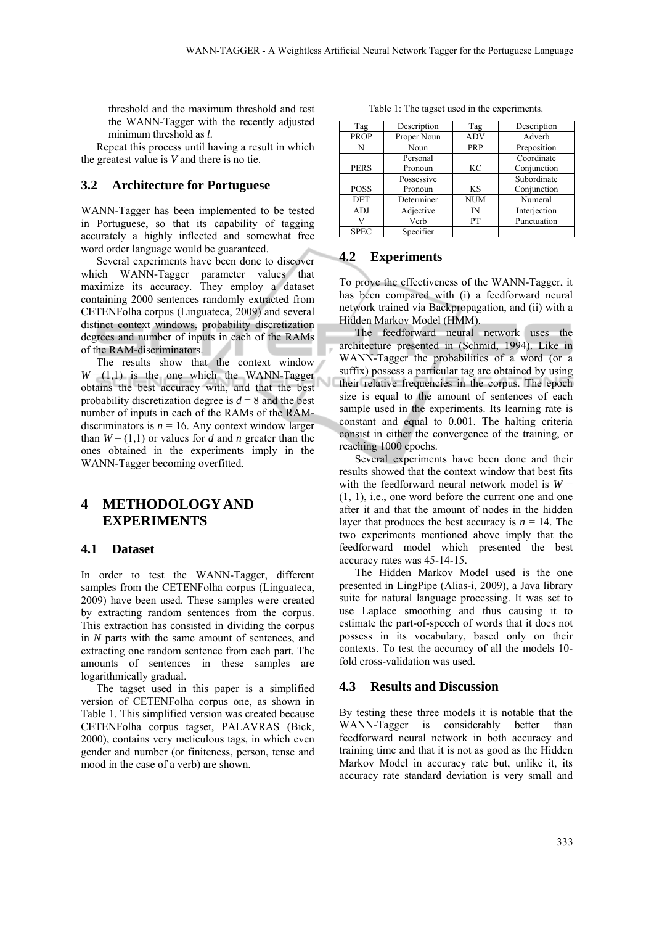threshold and the maximum threshold and test the WANN-Tagger with the recently adjusted minimum threshold as *l*.

Repeat this process until having a result in which the greatest value is *V* and there is no tie.

### **3.2 Architecture for Portuguese**

WANN-Tagger has been implemented to be tested in Portuguese, so that its capability of tagging accurately a highly inflected and somewhat free word order language would be guaranteed.

Several experiments have been done to discover which WANN-Tagger parameter values that maximize its accuracy. They employ a dataset containing 2000 sentences randomly extracted from CETENFolha corpus (Linguateca, 2009) and several distinct context windows, probability discretization degrees and number of inputs in each of the RAMs of the RAM-discriminators.

The results show that the context window  $W = (1,1)$  is the one which the WANN-Tagger obtains the best accuracy with, and that the best probability discretization degree is  $d = 8$  and the best number of inputs in each of the RAMs of the RAMdiscriminators is  $n = 16$ . Any context window larger than  $W = (1,1)$  or values for *d* and *n* greater than the ones obtained in the experiments imply in the WANN-Tagger becoming overfitted.

## **4 METHODOLOGY AND EXPERIMENTS**

### **4.1 Dataset**

In order to test the WANN-Tagger, different samples from the CETENFolha corpus (Linguateca, 2009) have been used. These samples were created by extracting random sentences from the corpus. This extraction has consisted in dividing the corpus in *N* parts with the same amount of sentences, and extracting one random sentence from each part. The amounts of sentences in these samples are logarithmically gradual.

The tagset used in this paper is a simplified version of CETENFolha corpus one, as shown in Table 1. This simplified version was created because CETENFolha corpus tagset, PALAVRAS (Bick, 2000), contains very meticulous tags, in which even gender and number (or finiteness, person, tense and mood in the case of a verb) are shown.

Table 1: The tagset used in the experiments.

| Tag         | Description | Tag        | Description  |
|-------------|-------------|------------|--------------|
| <b>PROP</b> | Proper Noun | <b>ADV</b> | Adverb       |
| N           | Noun        | PRP        | Preposition  |
|             | Personal    |            | Coordinate   |
| <b>PERS</b> | Pronoun     | KС         | Conjunction  |
|             | Possessive  |            | Subordinate  |
| <b>POSS</b> | Pronoun     | KS         | Conjunction  |
| <b>DET</b>  | Determiner  | <b>NUM</b> | Numeral      |
| ADJ         | Adjective   | IN         | Interjection |
| V           | Verb        | PТ         | Punctuation  |
| <b>SPEC</b> | Specifier   |            |              |

#### **4.2 Experiments**

To prove the effectiveness of the WANN-Tagger, it has been compared with (i) a feedforward neural network trained via Backpropagation, and (ii) with a Hidden Markov Model (HMM).

The feedforward neural network uses the architecture presented in (Schmid, 1994). Like in WANN-Tagger the probabilities of a word (or a suffix) possess a particular tag are obtained by using their relative frequencies in the corpus. The epoch size is equal to the amount of sentences of each sample used in the experiments. Its learning rate is constant and equal to 0.001. The halting criteria consist in either the convergence of the training, or reaching 1000 epochs.

Several experiments have been done and their results showed that the context window that best fits with the feedforward neural network model is  $W =$ (1, 1), i.e., one word before the current one and one after it and that the amount of nodes in the hidden layer that produces the best accuracy is  $n = 14$ . The two experiments mentioned above imply that the feedforward model which presented the best accuracy rates was 45-14-15.

The Hidden Markov Model used is the one presented in LingPipe (Alias-i, 2009), a Java library suite for natural language processing. It was set to use Laplace smoothing and thus causing it to estimate the part-of-speech of words that it does not possess in its vocabulary, based only on their contexts. To test the accuracy of all the models 10 fold cross-validation was used.

#### **4.3 Results and Discussion**

By testing these three models it is notable that the WANN-Tagger is considerably better than feedforward neural network in both accuracy and training time and that it is not as good as the Hidden Markov Model in accuracy rate but, unlike it, its accuracy rate standard deviation is very small and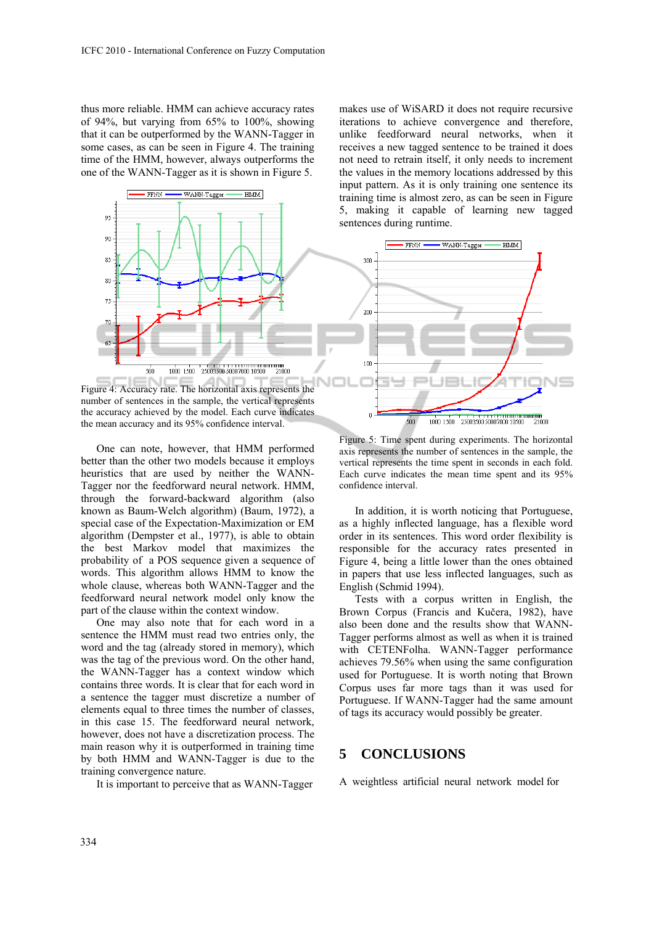thus more reliable. HMM can achieve accuracy rates of 94%, but varying from 65% to 100%, showing that it can be outperformed by the WANN-Tagger in some cases, as can be seen in Figure 4. The training time of the HMM, however, always outperforms the one of the WANN-Tagger as it is shown in Figure 5.



Figure 4: Accuracy rate. The horizontal axis represents the number of sentences in the sample, the vertical represents the accuracy achieved by the model. Each curve indicates the mean accuracy and its 95% confidence interval.

One can note, however, that HMM performed better than the other two models because it employs heuristics that are used by neither the WANN-Tagger nor the feedforward neural network. HMM, through the forward-backward algorithm (also known as Baum-Welch algorithm) (Baum, 1972), a special case of the Expectation-Maximization or EM algorithm (Dempster et al., 1977), is able to obtain the best Markov model that maximizes the probability of a POS sequence given a sequence of words. This algorithm allows HMM to know the whole clause, whereas both WANN-Tagger and the feedforward neural network model only know the part of the clause within the context window.

One may also note that for each word in a sentence the HMM must read two entries only, the word and the tag (already stored in memory), which was the tag of the previous word. On the other hand, the WANN-Tagger has a context window which contains three words. It is clear that for each word in a sentence the tagger must discretize a number of elements equal to three times the number of classes, in this case 15. The feedforward neural network, however, does not have a discretization process. The main reason why it is outperformed in training time by both HMM and WANN-Tagger is due to the training convergence nature.

It is important to perceive that as WANN-Tagger

makes use of WiSARD it does not require recursive iterations to achieve convergence and therefore, unlike feedforward neural networks, when it receives a new tagged sentence to be trained it does not need to retrain itself, it only needs to increment the values in the memory locations addressed by this input pattern. As it is only training one sentence its training time is almost zero, as can be seen in Figure 5, making it capable of learning new tagged sentences during runtime.



Figure 5: Time spent during experiments. The horizontal axis represents the number of sentences in the sample, the vertical represents the time spent in seconds in each fold. Each curve indicates the mean time spent and its 95% confidence interval.

In addition, it is worth noticing that Portuguese, as a highly inflected language, has a flexible word order in its sentences. This word order flexibility is responsible for the accuracy rates presented in Figure 4, being a little lower than the ones obtained in papers that use less inflected languages, such as English (Schmid 1994).

Tests with a corpus written in English, the Brown Corpus (Francis and Kučera, 1982), have also been done and the results show that WANN-Tagger performs almost as well as when it is trained with CETENFolha. WANN-Tagger performance achieves 79.56% when using the same configuration used for Portuguese. It is worth noting that Brown Corpus uses far more tags than it was used for Portuguese. If WANN-Tagger had the same amount of tags its accuracy would possibly be greater.

## **5 CONCLUSIONS**

A weightless artificial neural network model for